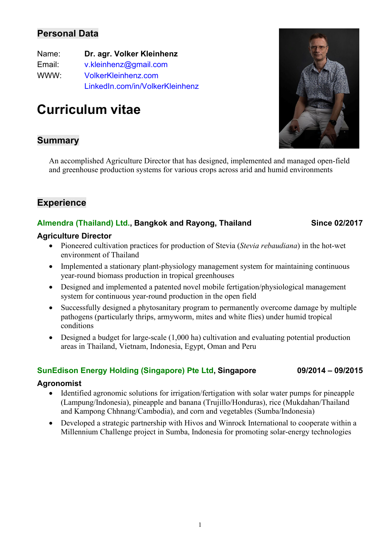# **Personal Data**

| Name:  | Dr. agr. Volker Kleinhenz       |
|--------|---------------------------------|
| Email: | v.kleinhenz@gmail.com           |
| WWW:   | <b>VolkerKleinhenz.com</b>      |
|        | LinkedIn.com/in/VolkerKleinhenz |

# **Curriculum vitae**

# **Summary**

An accomplished Agriculture Director that has designed, implemented and managed open-field and greenhouse production systems for various crops across arid and humid environments

# **Experience**

### **Almendra (Thailand) Ltd., Bangkok and Rayong, Thailand Since 02/2017**

#### **Agriculture Director**

- Pioneered cultivation practices for production of Stevia (*Stevia rebaudiana*) in the hot-wet environment of Thailand
- Implemented a stationary plant-physiology management system for maintaining continuous year-round biomass production in tropical greenhouses
- Designed and implemented a patented novel mobile fertigation/physiological management system for continuous year-round production in the open field
- Successfully designed a phytosanitary program to permanently overcome damage by multiple pathogens (particularly thrips, armyworm, mites and white flies) under humid tropical conditions
- Designed a budget for large-scale (1,000 ha) cultivation and evaluating potential production areas in Thailand, Vietnam, Indonesia, Egypt, Oman and Peru

#### **SunEdison Energy Holding (Singapore) Pte Ltd, Singapore 09/2014 – 09/2015**

#### **Agronomist**

- Identified agronomic solutions for irrigation/fertigation with solar water pumps for pineapple (Lampung/Indonesia), pineapple and banana (Trujillo/Honduras), rice (Mukdahan/Thailand and Kampong Chhnang/Cambodia), and corn and vegetables (Sumba/Indonesia)
- Developed a strategic partnership with Hivos and Winrock International to cooperate within a Millennium Challenge project in Sumba, Indonesia for promoting solar-energy technologies

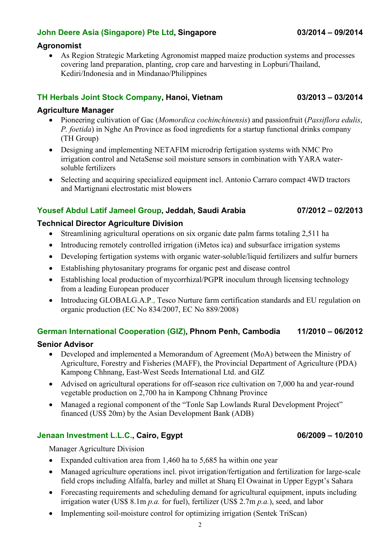### **John Deere Asia (Singapore) Pte Ltd, Singapore 03/2014 – 09/2014**

#### **Agronomist**

• As Region Strategic Marketing Agronomist mapped maize production systems and processes covering land preparation, planting, crop care and harvesting in Lopburi/Thailand, Kediri/Indonesia and in Mindanao/Philippines

#### **TH Herbals Joint Stock Company, Hanoi, Vietnam 03/2013 – 03/2014**

#### **Agriculture Manager**

- Pioneering cultivation of Gac (*Momordica cochinchinensis*) and passionfruit (*Passiflora edulis*, *P. foetida*) in Nghe An Province as food ingredients for a startup functional drinks company (TH Group)
- Designing and implementing NETAFIM microdrip fertigation systems with NMC Pro irrigation control and NetaSense soil moisture sensors in combination with YARA watersoluble fertilizers
- Selecting and acquiring specialized equipment incl. Antonio Carraro compact 4WD tractors and Martignani electrostatic mist blowers

#### **Yousef Abdul Latif Jameel Group, Jeddah, Saudi Arabia 07/2012 – 02/2013**

#### **Technical Director Agriculture Division**

- Streamlining agricultural operations on six organic date palm farms totaling 2,511 ha
- Introducing remotely controlled irrigation (iMetos ica) and subsurface irrigation systems
- Developing fertigation systems with organic water-soluble/liquid fertilizers and sulfur burners
- Establishing phytosanitary programs for organic pest and disease control
- Establishing local production of mycorrhizal/PGPR inoculum through licensing technology from a leading European producer
- Introducing GLOBALG.A.P., Tesco Nurture farm certification standards and EU regulation on organic production (EC No 834/2007, EC No 889/2008)

#### **German International Cooperation (GIZ), Phnom Penh, Cambodia 11/2010 – 06/2012**

#### **Senior Advisor**

- Developed and implemented a Memorandum of Agreement (MoA) between the Ministry of Agriculture, Forestry and Fisheries (MAFF), the Provincial Department of Agriculture (PDA) Kampong Chhnang, East-West Seeds International Ltd. and GIZ
- Advised on agricultural operations for off-season rice cultivation on 7,000 ha and year-round vegetable production on 2,700 ha in Kampong Chhnang Province
- Managed a regional component of the "Tonle Sap Lowlands Rural Development Project" financed (US\$ 20m) by the Asian Development Bank (ADB)

#### **Jenaan Investment L.L.C., Cairo, Egypt 06/2009 – 10/2010**

Manager Agriculture Division

- Expanded cultivation area from 1,460 ha to 5,685 ha within one year
- Managed agriculture operations incl. pivot irrigation/fertigation and fertilization for large-scale field crops including Alfalfa, barley and millet at Sharq El Owainat in Upper Egypt's Sahara
- Forecasting requirements and scheduling demand for agricultural equipment, inputs including irrigation water (US\$ 8.1m *p.a.* for fuel), fertilizer (US\$ 2.7m *p.a.*), seed, and labor
- Implementing soil-moisture control for optimizing irrigation (Sentek TriScan)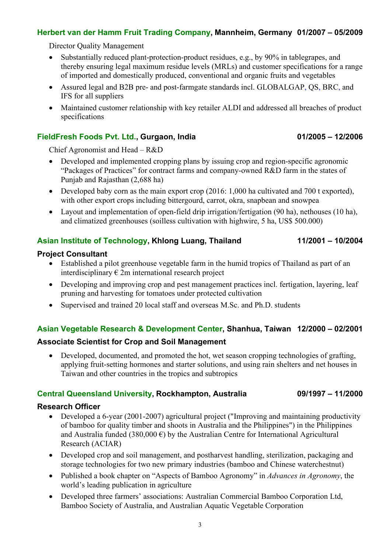### **Herbert van der Hamm Fruit Trading Company, Mannheim, Germany 01/2007 – 05/2009**

Director Quality Management

- Substantially reduced plant-protection-product residues, e.g., by 90% in tablegrapes, and thereby ensuring legal maximum residue levels (MRLs) and customer specifications for a range of imported and domestically produced, conventional and organic fruits and vegetables
- Assured legal and B2B pre- and post-farmgate standards incl. GLOBALGAP, QS, BRC, and IFS for all suppliers
- Maintained customer relationship with key retailer ALDI and addressed all breaches of product specifications

### **FieldFresh Foods Pvt. Ltd., Gurgaon, India 01/2005 – 12/2006**

Chief Agronomist and Head – R&D

- Developed and implemented cropping plans by issuing crop and region-specific agronomic "Packages of Practices" for contract farms and company-owned R&D farm in the states of Punjab and Rajasthan (2,688 ha)
- Developed baby corn as the main export crop (2016: 1,000 ha cultivated and 700 t exported), with other export crops including bittergourd, carrot, okra, snapbean and snowpea
- Layout and implementation of open-field drip irrigation/fertigation (90 ha), nethouses (10 ha), and climatized greenhouses (soilless cultivation with highwire, 5 ha, US\$ 500.000)

# **Asian Institute of Technology, Khlong Luang, Thailand 11/2001 – 10/2004**

### **Project Consultant**

- Established a pilot greenhouse vegetable farm in the humid tropics of Thailand as part of an interdisciplinary  $\epsilon$  2m international research project
- Developing and improving crop and pest management practices incl. fertigation, layering, leaf pruning and harvesting for tomatoes under protected cultivation
- Supervised and trained 20 local staff and overseas M.Sc. and Ph.D. students

# **Asian Vegetable Research & Development Center, Shanhua, Taiwan 12/2000 – 02/2001**

### **Associate Scientist for Crop and Soil Management**

• Developed, documented, and promoted the hot, wet season cropping technologies of grafting, applying fruit-setting hormones and starter solutions, and using rain shelters and net houses in Taiwan and other countries in the tropics and subtropics

### **Central Queensland University, Rockhampton, Australia 09/1997 – 11/2000**

#### **Research Officer**

- Developed a 6-year (2001-2007) agricultural project ("Improving and maintaining productivity of bamboo for quality timber and shoots in Australia and the Philippines") in the Philippines and Australia funded (380,000  $\epsilon$ ) by the Australian Centre for International Agricultural Research (ACIAR)
- Developed crop and soil management, and postharvest handling, sterilization, packaging and storage technologies for two new primary industries (bamboo and Chinese waterchestnut)
- Published a book chapter on "Aspects of Bamboo Agronomy" in *Advances in Agronomy*, the world's leading publication in agriculture
- Developed three farmers' associations: Australian Commercial Bamboo Corporation Ltd, Bamboo Society of Australia, and Australian Aquatic Vegetable Corporation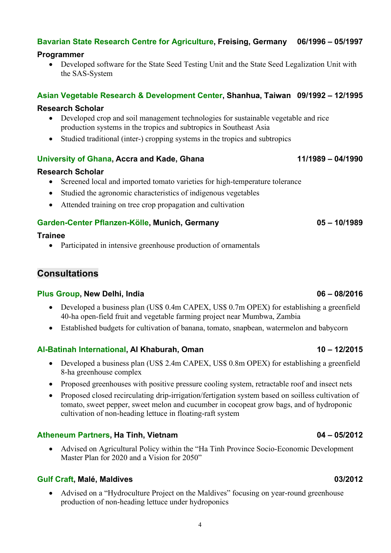# **Bavarian State Research Centre for Agriculture, Freising, Germany 06/1996 – 05/1997**

### **Programmer**

• Developed software for the State Seed Testing Unit and the State Seed Legalization Unit with the SAS-System

### **Asian Vegetable Research & Development Center, Shanhua, Taiwan 09/1992 – 12/1995**

### **Research Scholar**

- Developed crop and soil management technologies for sustainable vegetable and rice production systems in the tropics and subtropics in Southeast Asia
- Studied traditional (inter-) cropping systems in the tropics and subtropics

### **University of Ghana, Accra and Kade, Ghana 11/1989 – 04/1990**

### **Research Scholar**

- Screened local and imported tomato varieties for high-temperature tolerance
- Studied the agronomic characteristics of indigenous vegetables
- Attended training on tree crop propagation and cultivation

### **Garden-Center Pflanzen-Kölle, Munich, Germany 05 – 10/1989**

### **Trainee**

• Participated in intensive greenhouse production of ornamentals

# **Consultations**

#### **Plus Group, New Delhi, India 06 – 08/2016**

- Developed a business plan (US\$ 0.4m CAPEX, US\$ 0.7m OPEX) for establishing a greenfield 40-ha open-field fruit and vegetable farming project near Mumbwa, Zambia
- Established budgets for cultivation of banana, tomato, snapbean, watermelon and babycorn

### **Al-Batinah International, Al Khaburah, Oman 10 – 12/2015**

- Developed a business plan (US\$ 2.4m CAPEX, US\$ 0.8m OPEX) for establishing a greenfield 8-ha greenhouse complex
- Proposed greenhouses with positive pressure cooling system, retractable roof and insect nets
- Proposed closed recirculating drip-irrigation/fertigation system based on soilless cultivation of tomato, sweet pepper, sweet melon and cucumber in cocopeat grow bags, and of hydroponic cultivation of non-heading lettuce in floating-raft system

### **Atheneum Partners, Ha Tinh, Vietnam 04 – 05/2012**

• Advised on Agricultural Policy within the "Ha Tinh Province Socio-Economic Development Master Plan for 2020 and a Vision for 2050"

### **Gulf Craft, Malé, Maldives 03/2012**

• Advised on a "Hydroculture Project on the Maldives" focusing on year-round greenhouse production of non-heading lettuce under hydroponics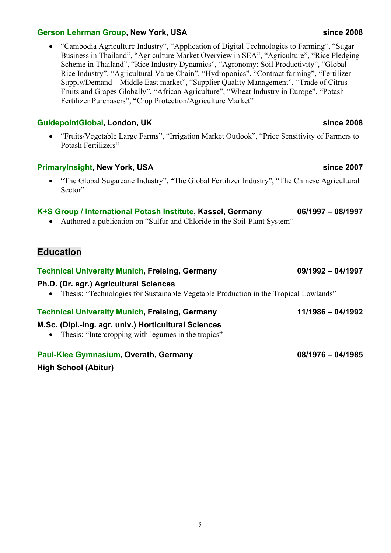#### **Gerson Lehrman Group, New York, USA since 2008**

• "Cambodia Agriculture Industry", "Application of Digital Technologies to Farming", "Sugar Business in Thailand", "Agriculture Market Overview in SEA", "Agriculture", "Rice Pledging Scheme in Thailand", "Rice Industry Dynamics", "Agronomy: Soil Productivity", "Global Rice Industry", "Agricultural Value Chain", "Hydroponics", "Contract farming", "Fertilizer Supply/Demand – Middle East market", "Supplier Quality Management", "Trade of Citrus Fruits and Grapes Globally", "African Agriculture", "Wheat Industry in Europe", "Potash Fertilizer Purchasers", "Crop Protection/Agriculture Market"

### **GuidepointGlobal, London, UK since 2008**

• "Fruits/Vegetable Large Farms", "Irrigation Market Outlook", "Price Sensitivity of Farmers to Potash Fertilizers"

### **PrimaryInsight, New York, USA since 2007**

• "The Global Sugarcane Industry", "The Global Fertilizer Industry", "The Chinese Agricultural Sector"

### **K+S Group / International Potash Institute, Kassel, Germany 06/1997 – 08/1997**

• Authored a publication on "Sulfur and Chloride in the Soil-Plant System"

### **Education**

#### **Technical University Munich, Freising, Germany 09/1992 – 04/1997**

#### **Ph.D. (Dr. agr.) Agricultural Sciences**

• Thesis: "Technologies for Sustainable Vegetable Production in the Tropical Lowlands"

#### **Technical University Munich, Freising, Germany 11/1986 – 04/1992**

### **M.Sc. (Dipl.-Ing. agr. univ.) Horticultural Sciences**

• Thesis: "Intercropping with legumes in the tropics"

### **Paul-Klee Gymnasium, Overath, Germany 08/1976 – 04/1985**

**High School (Abitur)**